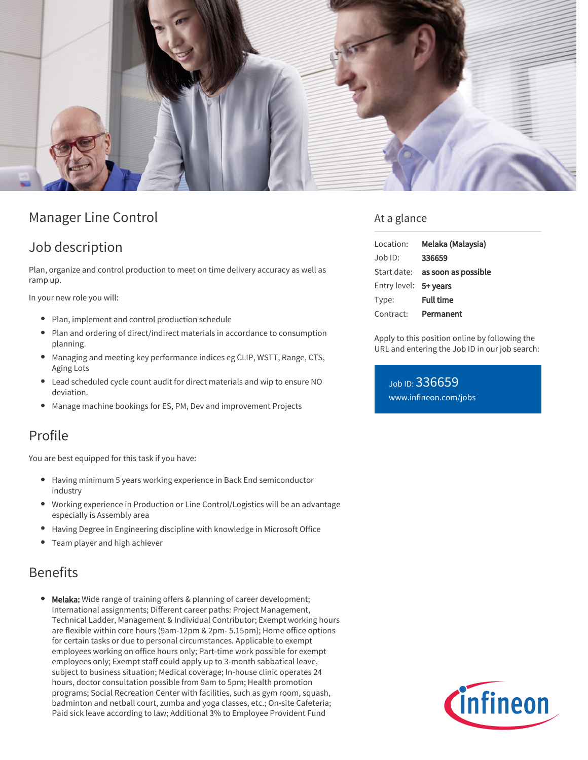

# Manager Line Control

## Job description

Plan, organize and control production to meet on time delivery accuracy as well as ramp up.

In your new role you will:

- Plan, implement and control production schedule
- Plan and ordering of direct/indirect materials in accordance to consumption planning.
- Managing and meeting key performance indices eg CLIP, WSTT, Range, CTS, Aging Lots
- Lead scheduled cycle count audit for direct materials and wip to ensure NO deviation.
- Manage machine bookings for ES, PM, Dev and improvement Projects

## Profile

You are best equipped for this task if you have:

- Having minimum 5 years working experience in Back End semiconductor industry
- Working experience in Production or Line Control/Logistics will be an advantage especially is Assembly area
- Having Degree in Engineering discipline with knowledge in Microsoft Office
- Team player and high achiever

## Benefits

Melaka: Wide range of training offers & planning of career development; International assignments; Different career paths: Project Management, Technical Ladder, Management & Individual Contributor; Exempt working hours are flexible within core hours (9am-12pm & 2pm- 5.15pm); Home office options for certain tasks or due to personal circumstances. Applicable to exempt employees working on office hours only; Part-time work possible for exempt employees only; Exempt staff could apply up to 3-month sabbatical leave, subject to business situation; Medical coverage; In-house clinic operates 24 hours, doctor consultation possible from 9am to 5pm; Health promotion programs; Social Recreation Center with facilities, such as gym room, squash, badminton and netball court, zumba and yoga classes, etc.; On-site Cafeteria; Paid sick leave according to law; Additional 3% to Employee Provident Fund

### At a glance

| Location:             | Melaka (Malaysia)               |
|-----------------------|---------------------------------|
| $Joh$ ID:             | 336659                          |
|                       | Start date: as soon as possible |
| Entry level: 5+ years |                                 |
| Type:                 | <b>Full time</b>                |
| Contract:             | Permanent                       |

Apply to this position online by following the URL and entering the Job ID in our job search:

Job ID: 336659 [www.infineon.com/jobs](https://www.infineon.com/jobs)